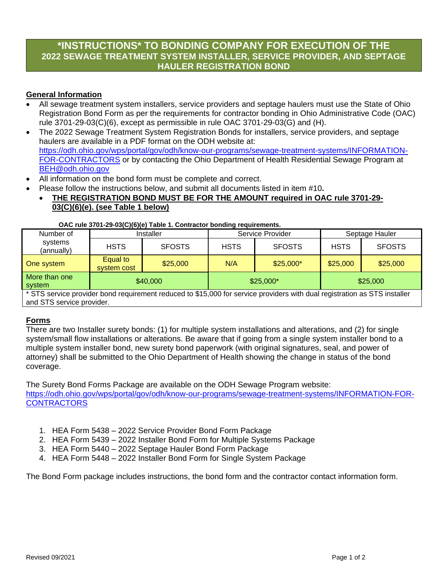## **\*INSTRUCTIONS\* TO BONDING COMPANY FOR EXECUTION OF THE 2022 SEWAGE TREATMENT SYSTEM INSTALLER, SERVICE PROVIDER, AND SEPTAGE HAULER REGISTRATION BOND**

#### **General Information**

- All sewage treatment system installers, service providers and septage haulers must use the State of Ohio Registration Bond Form as per the requirements for contractor bonding in Ohio Administrative Code (OAC) rule 3701-29-03(C)(6), except as permissible in rule OAC 3701-29-03(G) and (H).
- The 2022 Sewage Treatment System Registration Bonds for installers, service providers, and septage haulers are available in a PDF format on the ODH website at: [https://odh.ohio.gov/wps/portal/gov/odh/know-our-programs/sewage-treatment-systems/INFORMATION-](https://odh.ohio.gov/wps/portal/gov/odh/know-our-programs/sewage-treatment-systems/INFORMATION-FOR-CONTRACTORS)[FOR-CONTRACTORS](https://odh.ohio.gov/wps/portal/gov/odh/know-our-programs/sewage-treatment-systems/INFORMATION-FOR-CONTRACTORS) or by contacting the Ohio Department of Health Residential Sewage Program at [BEH@odh.ohio.gov](mailto:BEH@odh.ohio.gov)
- All information on the bond form must be complete and correct.
- Please follow the instructions below, and submit all documents listed in item #10**.**
- **THE REGISTRATION BOND MUST BE FOR THE AMOUNT required in OAC rule 3701-29- 03(C)(6)(e). (see Table 1 below)**

#### **OAC rule 3701-29-03(C)(6)(e) Table 1. Contractor bonding requirements.**

| Number of<br>systems<br>(annually) | Installer               |               | Service Provider |               | Septage Hauler |               |
|------------------------------------|-------------------------|---------------|------------------|---------------|----------------|---------------|
|                                    | <b>HSTS</b>             | <b>SFOSTS</b> | <b>HSTS</b>      | <b>SFOSTS</b> | <b>HSTS</b>    | <b>SFOSTS</b> |
| One system                         | Equal to<br>system cost | \$25,000      | N/A              | $$25,000*$    | \$25,000       | \$25,000      |
| More than one<br>system            | \$40,000                |               | $$25,000*$       |               | \$25,000       |               |

\* STS service provider bond requirement reduced to \$15,000 for service providers with dual registration as STS installer and STS service provider.

#### **Forms**

There are two Installer surety bonds: (1) for multiple system installations and alterations, and (2) for single system/small flow installations or alterations. Be aware that if going from a single system installer bond to a multiple system installer bond, new surety bond paperwork (with original signatures, seal, and power of attorney) shall be submitted to the Ohio Department of Health showing the change in status of the bond coverage.

The Surety Bond Forms Package are available on the ODH Sewage Program website: [https://odh.ohio.gov/wps/portal/gov/odh/know-our-programs/sewage-treatment-systems/INFORMATION-FOR-](https://odh.ohio.gov/wps/portal/gov/odh/know-our-programs/sewage-treatment-systems/INFORMATION-FOR-CONTRACTORS)**[CONTRACTORS](https://odh.ohio.gov/wps/portal/gov/odh/know-our-programs/sewage-treatment-systems/INFORMATION-FOR-CONTRACTORS)** 

- 1. HEA Form 5438 2022 Service Provider Bond Form Package
- 2. HEA Form 5439 2022 Installer Bond Form for Multiple Systems Package
- 3. HEA Form 5440 2022 Septage Hauler Bond Form Package
- 4. HEA Form 5448 2022 Installer Bond Form for Single System Package

The Bond Form package includes instructions, the bond form and the contractor contact information form.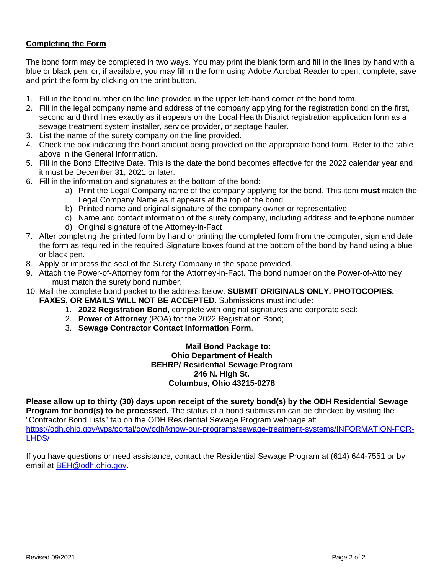### **Completing the Form**

The bond form may be completed in two ways. You may print the blank form and fill in the lines by hand with a blue or black pen, or, if available, you may fill in the form using Adobe Acrobat Reader to open, complete, save and print the form by clicking on the print button.

- 1. Fill in the bond number on the line provided in the upper left-hand corner of the bond form.
- 2. Fill in the legal company name and address of the company applying for the registration bond on the first, second and third lines exactly as it appears on the Local Health District registration application form as a sewage treatment system installer, service provider, or septage hauler.
- 3. List the name of the surety company on the line provided.
- 4. Check the box indicating the bond amount being provided on the appropriate bond form. Refer to the table above in the General Information.
- 5. Fill in the Bond Effective Date. This is the date the bond becomes effective for the 2022 calendar year and it must be December 31, 2021 or later.
- 6. Fill in the information and signatures at the bottom of the bond:
	- a) Print the Legal Company name of the company applying for the bond. This item **must** match the Legal Company Name as it appears at the top of the bond
	- b) Printed name and original signature of the company owner or representative
	- c) Name and contact information of the surety company, including address and telephone number
	- d) Original signature of the Attorney-in-Fact
- 7. After completing the printed form by hand or printing the completed form from the computer, sign and date the form as required in the required Signature boxes found at the bottom of the bond by hand using a blue or black pen.
- 8. Apply or impress the seal of the Surety Company in the space provided.
- 9. Attach the Power-of-Attorney form for the Attorney-in-Fact. The bond number on the Power-of-Attorney must match the surety bond number.
- 10. Mail the complete bond packet to the address below. **SUBMIT ORIGINALS ONLY. PHOTOCOPIES, FAXES, OR EMAILS WILL NOT BE ACCEPTED.** Submissions must include:
	- 1. **2022 Registration Bond**, complete with original signatures and corporate seal;
	- 2. **Power of Attorney** (POA) for the 2022 Registration Bond;
	- 3. **Sewage Contractor Contact Information Form**.

#### **Mail Bond Package to: Ohio Department of Health BEHRP/ Residential Sewage Program 246 N. High St. Columbus, Ohio 43215-0278**

**Please allow up to thirty (30) days upon receipt of the surety bond(s) by the ODH Residential Sewage Program for bond(s) to be processed.** The status of a bond submission can be checked by visiting the "Contractor Bond Lists" tab on the ODH Residential Sewage Program webpage at:

[https://odh.ohio.gov/wps/portal/gov/odh/know-our-programs/sewage-treatment-systems/INFORMATION-FOR-](https://odh.ohio.gov/wps/portal/gov/odh/know-our-programs/sewage-treatment-systems/INFORMATION-FOR-LHDS/)[LHDS/](https://odh.ohio.gov/wps/portal/gov/odh/know-our-programs/sewage-treatment-systems/INFORMATION-FOR-LHDS/)

If you have questions or need assistance, contact the Residential Sewage Program at (614) 644-7551 or by email at [BEH@odh.ohio.gov.](mailto:BEH@odh.ohio.gov)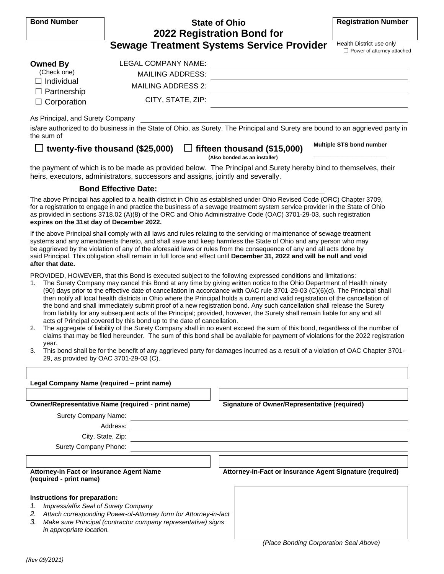| <b>Bond Number</b>                                                                              | <b>State of Ohio</b><br>2022 Registration Bond for                                                                                                                                                                                                                                                                                                                                                                                                                                                                                                                                                                                                                                                                                                                                                                                                                                                                                                                                                                                                                                                                                                                                                                                            | <b>Registration Number</b>                                    |  |  |  |  |
|-------------------------------------------------------------------------------------------------|-----------------------------------------------------------------------------------------------------------------------------------------------------------------------------------------------------------------------------------------------------------------------------------------------------------------------------------------------------------------------------------------------------------------------------------------------------------------------------------------------------------------------------------------------------------------------------------------------------------------------------------------------------------------------------------------------------------------------------------------------------------------------------------------------------------------------------------------------------------------------------------------------------------------------------------------------------------------------------------------------------------------------------------------------------------------------------------------------------------------------------------------------------------------------------------------------------------------------------------------------|---------------------------------------------------------------|--|--|--|--|
|                                                                                                 | <b>Sewage Treatment Systems Service Provider</b>                                                                                                                                                                                                                                                                                                                                                                                                                                                                                                                                                                                                                                                                                                                                                                                                                                                                                                                                                                                                                                                                                                                                                                                              | Health District use only<br>$\Box$ Power of attorney attached |  |  |  |  |
| <b>Owned By</b><br>(Check one)<br>$\Box$ Individual<br>$\Box$ Partnership<br>$\Box$ Corporation | <b>LEGAL COMPANY NAME:</b><br><b>MAILING ADDRESS:</b><br><b>MAILING ADDRESS 2:</b><br>CITY, STATE, ZIP:                                                                                                                                                                                                                                                                                                                                                                                                                                                                                                                                                                                                                                                                                                                                                                                                                                                                                                                                                                                                                                                                                                                                       |                                                               |  |  |  |  |
| As Principal, and Surety Company<br>the sum of                                                  | is/are authorized to do business in the State of Ohio, as Surety. The Principal and Surety are bound to an aggrieved party in                                                                                                                                                                                                                                                                                                                                                                                                                                                                                                                                                                                                                                                                                                                                                                                                                                                                                                                                                                                                                                                                                                                 |                                                               |  |  |  |  |
|                                                                                                 | $\Box$ twenty-five thousand (\$25,000)<br>$\Box$ fifteen thousand (\$15,000)<br>(Also bonded as an installer)                                                                                                                                                                                                                                                                                                                                                                                                                                                                                                                                                                                                                                                                                                                                                                                                                                                                                                                                                                                                                                                                                                                                 | Multiple STS bond number                                      |  |  |  |  |
|                                                                                                 | the payment of which is to be made as provided below. The Principal and Surety hereby bind to themselves, their<br>heirs, executors, administrators, successors and assigns, jointly and severally.                                                                                                                                                                                                                                                                                                                                                                                                                                                                                                                                                                                                                                                                                                                                                                                                                                                                                                                                                                                                                                           |                                                               |  |  |  |  |
| <b>Bond Effective Date:</b>                                                                     |                                                                                                                                                                                                                                                                                                                                                                                                                                                                                                                                                                                                                                                                                                                                                                                                                                                                                                                                                                                                                                                                                                                                                                                                                                               |                                                               |  |  |  |  |
| expires on the 31st day of December 2022.                                                       | The above Principal has applied to a health district in Ohio as established under Ohio Revised Code (ORC) Chapter 3709,<br>for a registration to engage in and practice the business of a sewage treatment system service provider in the State of Ohio<br>as provided in sections 3718.02 (A)(8) of the ORC and Ohio Administrative Code (OAC) 3701-29-03, such registration                                                                                                                                                                                                                                                                                                                                                                                                                                                                                                                                                                                                                                                                                                                                                                                                                                                                 |                                                               |  |  |  |  |
| after that date.                                                                                | If the above Principal shall comply with all laws and rules relating to the servicing or maintenance of sewage treatment<br>systems and any amendments thereto, and shall save and keep harmless the State of Ohio and any person who may<br>be aggrieved by the violation of any of the aforesaid laws or rules from the consequence of any and all acts done by<br>said Principal. This obligation shall remain in full force and effect until December 31, 2022 and will be null and void                                                                                                                                                                                                                                                                                                                                                                                                                                                                                                                                                                                                                                                                                                                                                  |                                                               |  |  |  |  |
| 2.<br>year.<br>3.<br>29, as provided by OAC 3701-29-03 (C).                                     | PROVIDED, HOWEVER, that this Bond is executed subject to the following expressed conditions and limitations:<br>The Surety Company may cancel this Bond at any time by giving written notice to the Ohio Department of Health ninety<br>(90) days prior to the effective date of cancellation in accordance with OAC rule 3701-29-03 (C)(6)(d). The Principal shall<br>then notify all local health districts in Ohio where the Principal holds a current and valid registration of the cancellation of<br>the bond and shall immediately submit proof of a new registration bond. Any such cancellation shall release the Surety<br>from liability for any subsequent acts of the Principal; provided, however, the Surety shall remain liable for any and all<br>acts of Principal covered by this bond up to the date of cancellation.<br>The aggregate of liability of the Surety Company shall in no event exceed the sum of this bond, regardless of the number of<br>claims that may be filed hereunder. The sum of this bond shall be available for payment of violations for the 2022 registration<br>This bond shall be for the benefit of any aggrieved party for damages incurred as a result of a violation of OAC Chapter 3701- |                                                               |  |  |  |  |
|                                                                                                 |                                                                                                                                                                                                                                                                                                                                                                                                                                                                                                                                                                                                                                                                                                                                                                                                                                                                                                                                                                                                                                                                                                                                                                                                                                               |                                                               |  |  |  |  |
| Legal Company Name (required - print name)                                                      |                                                                                                                                                                                                                                                                                                                                                                                                                                                                                                                                                                                                                                                                                                                                                                                                                                                                                                                                                                                                                                                                                                                                                                                                                                               |                                                               |  |  |  |  |
|                                                                                                 |                                                                                                                                                                                                                                                                                                                                                                                                                                                                                                                                                                                                                                                                                                                                                                                                                                                                                                                                                                                                                                                                                                                                                                                                                                               |                                                               |  |  |  |  |
|                                                                                                 | <b>Owner/Representative Name (required - print name)</b><br><b>Signature of Owner/Representative (required)</b>                                                                                                                                                                                                                                                                                                                                                                                                                                                                                                                                                                                                                                                                                                                                                                                                                                                                                                                                                                                                                                                                                                                               |                                                               |  |  |  |  |
| <b>Surety Company Name:</b>                                                                     |                                                                                                                                                                                                                                                                                                                                                                                                                                                                                                                                                                                                                                                                                                                                                                                                                                                                                                                                                                                                                                                                                                                                                                                                                                               |                                                               |  |  |  |  |
|                                                                                                 | Address:                                                                                                                                                                                                                                                                                                                                                                                                                                                                                                                                                                                                                                                                                                                                                                                                                                                                                                                                                                                                                                                                                                                                                                                                                                      |                                                               |  |  |  |  |
|                                                                                                 | City, State, Zip:                                                                                                                                                                                                                                                                                                                                                                                                                                                                                                                                                                                                                                                                                                                                                                                                                                                                                                                                                                                                                                                                                                                                                                                                                             |                                                               |  |  |  |  |
| Surety Company Phone:                                                                           |                                                                                                                                                                                                                                                                                                                                                                                                                                                                                                                                                                                                                                                                                                                                                                                                                                                                                                                                                                                                                                                                                                                                                                                                                                               |                                                               |  |  |  |  |
| Attorney-in Fact or Insurance Agent Name<br>(required - print name)                             | Attorney-in-Fact or Insurance Agent Signature (required)                                                                                                                                                                                                                                                                                                                                                                                                                                                                                                                                                                                                                                                                                                                                                                                                                                                                                                                                                                                                                                                                                                                                                                                      |                                                               |  |  |  |  |
| Instructions for preparation:                                                                   |                                                                                                                                                                                                                                                                                                                                                                                                                                                                                                                                                                                                                                                                                                                                                                                                                                                                                                                                                                                                                                                                                                                                                                                                                                               |                                                               |  |  |  |  |

- *1. Impress/affix Seal of Surety Company*
- *2. Attach corresponding Power-of-Attorney form for Attorney-in-fact*
- *3. Make sure Principal (contractor company representative) signs in appropriate location.*